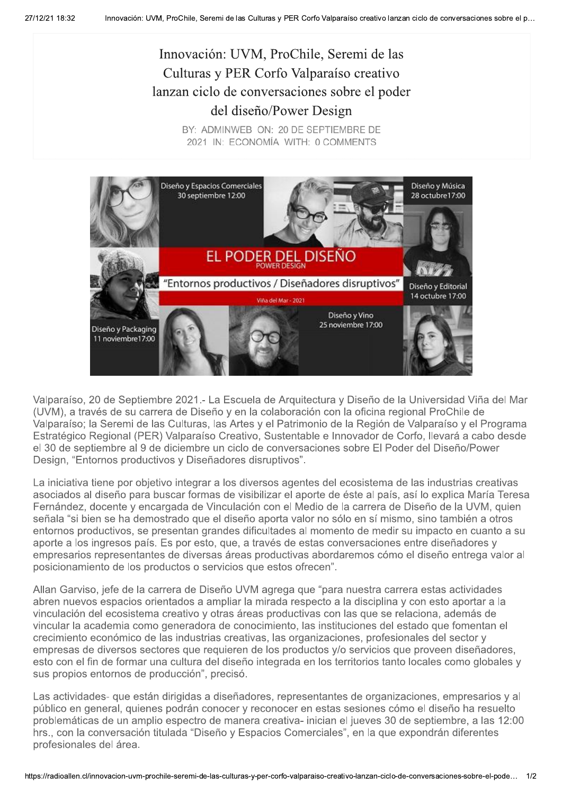## Innovación: UVM, ProChile, Seremi de las Culturas y PER Corfo Valparaíso creativo lanzan ciclo de conversaciones sobre el poder del diseño/Power Design

BY: ADMINWEB ON: 20 DE SEPTIEMBRE DE 2021 IN: ECONOMÍA WITH: 0 COMMENTS



Valparaíso, 20 de Septiembre 2021.- La Escuela de Arquitectura y Diseño de la Universidad Viña del Mar (UVM), a través de su carrera de Diseño y en la colaboración con la oficina regional ProChile de Valparaíso; la Seremi de las Culturas, las Artes y el Patrimonio de la Región de Valparaíso y el Programa Estratégico Regional (PER) Valparaíso Creativo, Sustentable e Innovador de Corfo, llevará a cabo desde el 30 de septiembre al 9 de diciembre un ciclo de conversaciones sobre El Poder del Diseño/Power Design, "Entornos productivos y Diseñadores disruptivos".

La iniciativa tiene por objetivo integrar a los diversos agentes del ecosistema de las industrias creativas asociados al diseño para buscar formas de visibilizar el aporte de éste al país, así lo explica María Teresa Fernández, docente y encargada de Vinculación con el Medio de la carrera de Diseño de la UVM, quien señala "si bien se ha demostrado que el diseño aporta valor no sólo en sí mismo, sino también a otros entornos productivos, se presentan grandes dificultades al momento de medir su impacto en cuanto a su aporte a los ingresos país. Es por esto, que, a través de estas conversaciones entre diseñadores y empresarios representantes de diversas áreas productivas abordaremos cómo el diseño entrega valor al posicionamiento de los productos o servicios que estos ofrecen".

Allan Garviso, jefe de la carrera de Diseño UVM agrega que "para nuestra carrera estas actividades abren nuevos espacios orientados a ampliar la mirada respecto a la disciplina y con esto aportar a la vinculación del ecosistema creativo y otras áreas productivas con las que se relaciona, además de vincular la academia como generadora de conocimiento, las instituciones del estado que fomentan el crecimiento económico de las industrias creativas, las organizaciones, profesionales del sector y empresas de diversos sectores que requieren de los productos y/o servicios que proveen diseñadores, esto con el fin de formar una cultura del diseño integrada en los territorios tanto locales como globales y sus propios entornos de producción", precisó.

Las actividades- que están dirigidas a diseñadores, representantes de organizaciones, empresarios y al público en general, quienes podrán conocer y reconocer en estas sesiones cómo el diseño ha resuelto problemáticas de un amplio espectro de manera creativa- inician el jueves 30 de septiembre, a las 12:00 hrs., con la conversación titulada "Diseño y Espacios Comerciales", en la que expondrán diferentes profesionales del área.